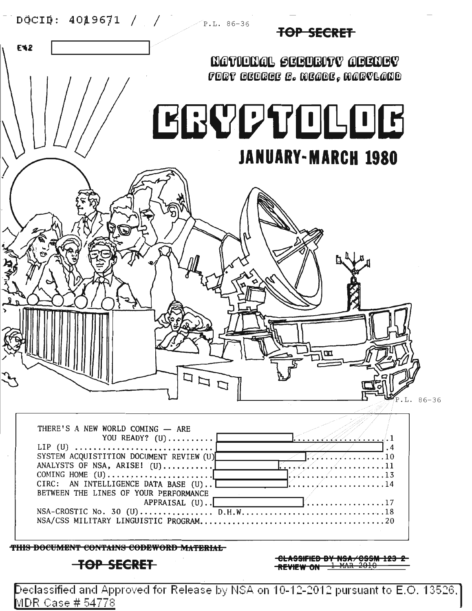

**E42** 

**TOP SECRET** 

**MATIONAL SEBURITY ABENEY** FORT GEORGE G. MEADE, MARVLAND

# **LGQDTOLOG JANUARY-MARCH 1980**

.L. 86-36



**UNL** 

**THIS DOCUMENT CONTAINS CODEWORD MATERIAL** 

**TOP SECRET** 

**eLASSIFlEB BY NSA/eSSM 123 2 REVIEW ON** 1 HAR 2818

Declassified and Approved for Release by NSA on  $10$ -12-2012 pursuant to E.O. 13526.] vl **DR** Case # 54778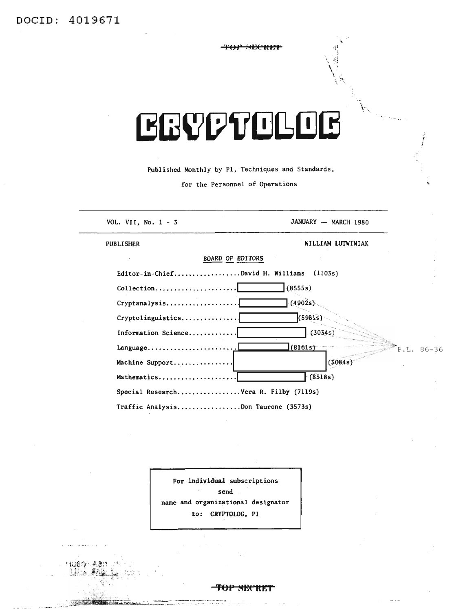# **EGYPTOLOG**

Published Monthly by P1, Techniques and Standards,

for the Personnel of Operations

| VOL. VII, No. $1 - 3$                                         | JANUARY - MARCH 1980    |
|---------------------------------------------------------------|-------------------------|
|                                                               |                         |
| <b>PUBLISHER</b>                                              | WILLIAM LUTWINIAK       |
| <b>BOARD OF EDITORS</b>                                       |                         |
| Editor-in-ChiefDavid H. Williams                              | (1103s)                 |
| $\text{Collection} \ldots \ldots \ldots \ldots \ldots \ldots$ | (8555s)                 |
|                                                               | (4902s)                 |
| Cryptolinguistics                                             | (5981s)                 |
| Information Science                                           | (3034s)                 |
| Language                                                      | (8161s)<br>$P.L. 86-36$ |
| Machine Support                                               | (5084s)                 |
| Mathematics                                                   | (8518s)                 |
| Special ResearchVera R. Filby (7119s)                         |                         |
| Traffic AnalysisDon Taurone (3573s)                           |                         |

For individual subscriptions send name and organizational designator to: CRYPTOLOG, P1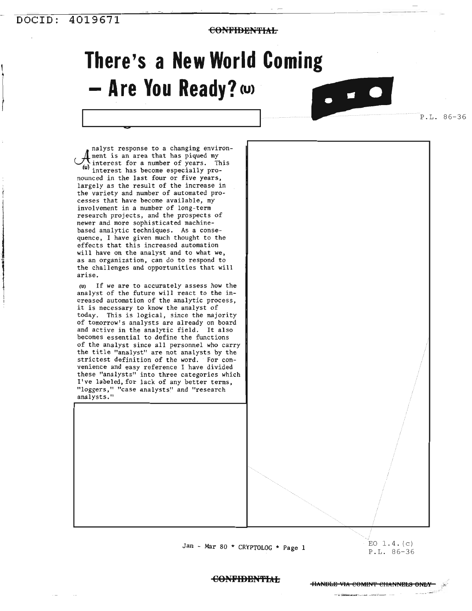## **DOCID:** 4019671 **4019611**

'I

 $\begin{array}{c} \begin{array}{c} \begin{array}{c} \begin{array}{c} \end{array} \end{array} \end{array} \end{array}$ 

 $\left\{\right.$ 

**CONFIBEN'fIAL**

# **There's a New World Coming** - **Are** You Ready? **(U)**

 $\bullet$   $\bullet$   $\bullet$ 

P.L. 86-36

nalyst response to a changing environ- $\mathbf 1$  ment is an area that has piqued my interest for a number of years. This **(u** interest has become especially pronounced in the last four or five years, largely as the result of the increase in the variety and number of automated processes that have become available, my involvement in a number of long-term research projects, and the prospects of newer and more sophisticated machinebased analytic techniques. As a consequence, I have given much thought to the effects that this increased automation will have on the analyst and to what we, as an organization, can do to respond to the challenges and opportunities that will arise.

**C>**

(u) If we are to accurately assess how the analyst of the future will react to the increased automation of the analytic process, it is necessary to know the analyst of today. This is logical, since the majority of tomorrow's analysts are already on board and active in the analytic field. It also becomes essential to define the functions of the analyst since all personnel who carry the title "analyst" are not analysts by the strictest definition of the word. For convenience and easy reference I have divided these "analysts" into three categories which I've labeled, for lack of any better terms, "loggers," "case analysts" and "research analysts."

Jan - Mar 80 \* CRYPTOLOG \* Page 1

/ EO 1.4. (c) P.L. 86-36

#### **eONPIBEN'fIAL**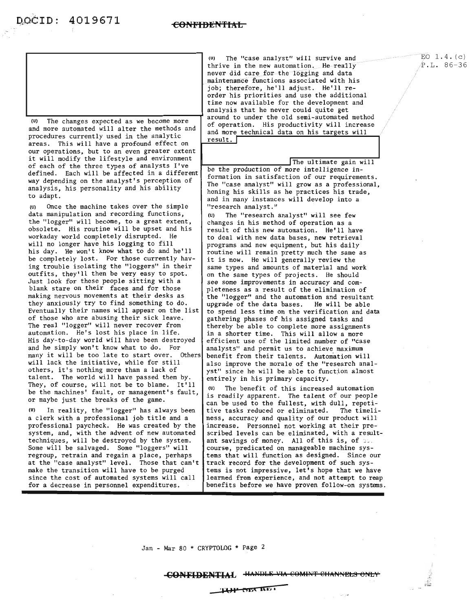

(U) The changes expected as we become more and more automated will alter the methods and procedures currently used in the analytic areas. This will have a profound effect on our operations, but to an even greater extent it will modify the lifestyle and environment of each of the three types of analysts I've defined. Each will be affected in a different way depending on the analyst's perception of analysis, his personality and his ability to adapt.

(U) Once the machine takes over the simple data manipulation and recording functions, the "logger" will become, to a great extent, obsolete. His routine will be upset and his workaday world completely disrupted. He will no longer have his logging to fill his day. He won't know what to do and he'll be completely lost. For those currently having trouble isolating the "loggers" in their outfits, they'll then be very easy to spot. Just look for those people sitting with <sup>a</sup> blank stare on their faces and for those making nervous movements at their desks as they anxiously try to find something to do. Eventually their names will appear on the list of those who are abusing their sick leave. The real "logger" will never recover from automation. He's lost his place in life. His day-to-day world will have been destroyed and he simply won't know what to do. For many it will be too late to start over. Others will lack the initiative, while for still others, it's nothing more than <sup>a</sup> lack of talent. The world will have passed them by. They, of course, will not be to blame. It'll be the machines' fault, or management's fault, or maybe just the breaks of the game.

(U) In reality, the "logger" has always been a clerk with a professional job title and a professional paycheck. He was created by the system, and, with the advent of new automated techniques, will be destroyed by the system. Some will be salvaged. Some "loggers" will regroup, retrain and regain a place, perhaps at the "case analyst" level. Those that can't make the transition will have to be purged since the cost of automated systems will call for a decrease in personnel expenditures.

(U) The "case analyst" will survive and thrive in the new automation. He really never did care for the logging and data maintenance functions associated with his job; therefore, he'll adjust. He'll re- order his priorities and use the additional time now available for the development and analysis that he never could quite get around to under the old semi-automated method of operation. His productivity will increase and more technical data on his targets will result. **<sup>I</sup>**

The ultimate gain will

be the production of more intelligence information in satisfaction of our requirements. The "case analyst" will grow as a professional, honing his skills as he practices his trade, and in many instances will develop into a "research analyst."

(U) The "research analyst" will see few changes in his method of operation as a result of this new automation. He'll have to deal with new data bases, new retrieval programs and new equipment, but his daily routine will remain pretty much the same as it is now. He will generally review the same types and amounts of material and work on the same types of projects. He should see some improvements in accuracy and completeness as a result of the elimination of the "logger" and the automation and resultant upgrade of the data bases. He will be able to spend less time on the verification and data gathering phases of his assigned tasks and thereby be able to complete more assignments in a shorter time. This will allow a more efficient use of the limited number of "case analysts" and permit us to achieve maximum benefit from their talents. Automation will also improve the morale of the "research analyst" since he will be able to function almost entirely in his primary capacity.

(U) The benefit of this increased automation is readily apparent. The talent of our people can be used to the fullest, with dull, repetitive tasks reduced or eliminated. The timeliness, accuracy and quality of our product will increase. Personnel not working at their prescribed levels can be eliminated, with a resultant savings of money. All of this is, of  $\infty$ . course, predicated on manageable machine systems that will function as designed. Since our track record for the development of such systems is not impressive, let's hope that we have learned from experience, and not attempt to reap benefits before we have proven follow-on systems.

Jan - Mar 80 \* CRYPTOLOG \* Page 2

 $EO$  1.4. $(c)$ P.L. 86-36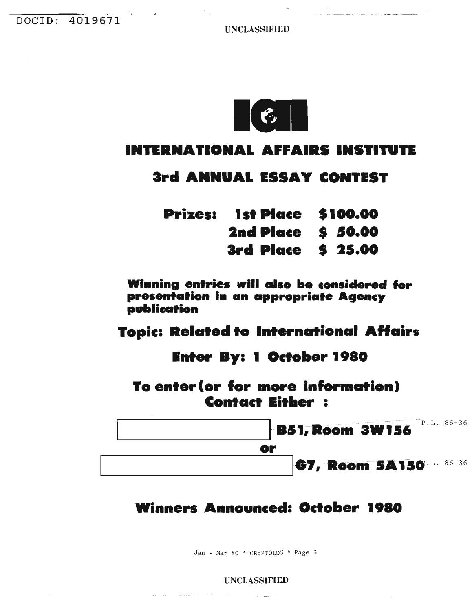**UNCLASSIFIED** 



# **INTERNATIONAL AFFAIRS INSTITUTE**

## 3rd ANNUAL ESSAY CONTEST

| <b>Prizes: 1st Place \$100.00</b> |  |
|-----------------------------------|--|
| <b>2nd Place \$ 50.00</b>         |  |
| 3rd Place \$ 25.00                |  |

Winning entries will also be considered for presentation in an appropriate Agency publication

# **Topic: Related to International Affairs**

# **Enter By: 1 October 1980**

To enter (or for more information) **Contact Either:** 



# **Winners Announced: October 1980**

Jan - Mar 80 \* CRYPTOLOG \* Page 3

#### **UNCLASSIFIED**

 $\mathcal{A}(\mathcal{A})$  and  $\mathcal{A}(\mathcal{A})$  and

of many and

 $\mathcal{L}^{\mathcal{L}}$  and  $\mathcal{L}^{\mathcal{L}}$  and  $\mathcal{L}^{\mathcal{L}}$  are  $\mathcal{L}^{\mathcal{L}}$  . In the  $\mathcal{L}^{\mathcal{L}}$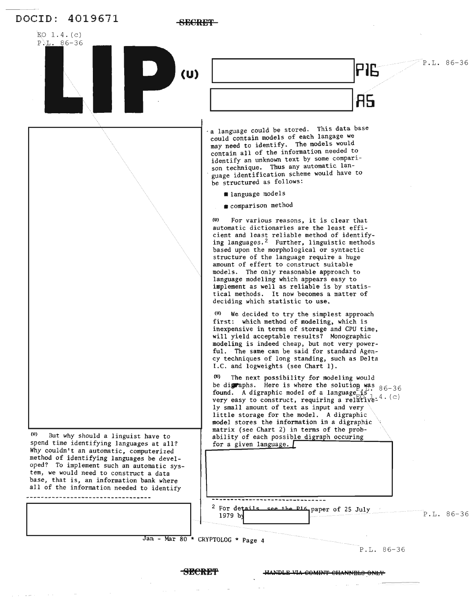

**SECRET** HANDLE VIA COMINT CHANNELS ONLY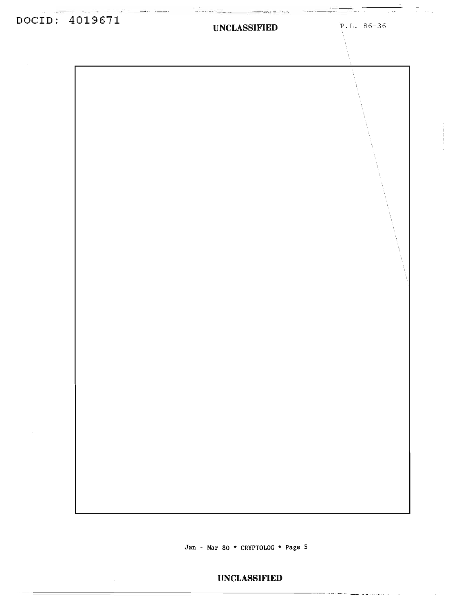# **DOCID: 4019611**

#### **UNCLASSIFIED** P.L. 86-36

 $\begin{array}{c} \begin{array}{c} \begin{array}{c} \end{array} \\ \begin{array}{c} \end{array} \end{array} \end{array} \begin{array}{c} \begin{array}{c} \end{array} \end{array} \end{array} \begin{array}{c} \begin{array}{c} \end{array} \end{array} \begin{array}{c} \begin{array}{c} \end{array} \end{array} \begin{array}{c} \begin{array}{c} \end{array} \end{array} \end{array} \begin{array}{c} \begin{array}{c} \end{array} \end{array} \begin{array}{c} \begin{array}{c} \end{array} \end{array} \begin{array}{c} \end{array} \end{array}$ 

<del>. . .</del> . . . . .

 $\sim$  100  $\mu$  m  $\sim$  100  $\mu$ 

**Jan - Mar 80 \* CRYPTOLOG \* Page 5**

### **UNCLASSIFIED**  $\blacksquare$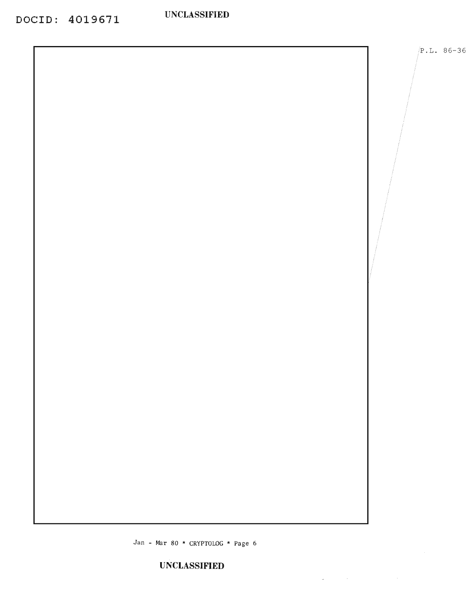$/P.L. 86-36$ 

Jan - Mar 80 \* CRYPTOLOG \* Page 6

 $\mathcal{L}_{\mathbf{z}}$  and  $\mathcal{L}_{\mathbf{z}}$  are the set of the set of the set of the  $\mathcal{L}_{\mathbf{z}}$ 

**UNCLASSIFIED**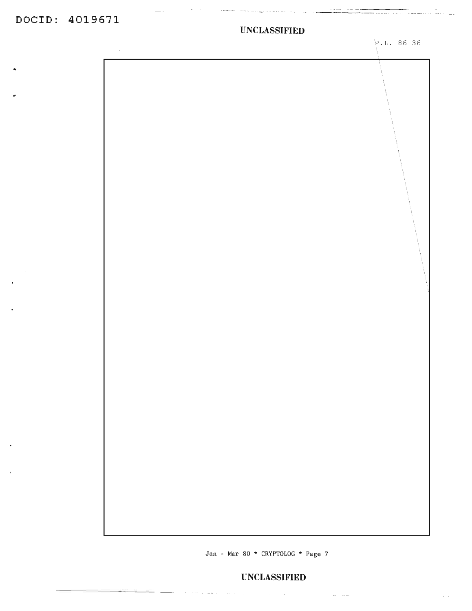### **DOCID: 4019611**

 $\sim$ 

#### **UNCLASSIFIED**

 $\omega_{\rm c} = \omega_{\rm c} \omega_{\rm c}$ 

P.L. 86-36

an Territorium and Territorium

 $\cdots \cdots \cdots \cdots$ 

|  |  | and a sheared and some of the contract of the contract of the contract of the contract of the contract of the<br>Separate of the contract of the contract of the contract of the contract of the contract of the contract of th<br>المستعملين<br>المستعملين |
|--|--|-------------------------------------------------------------------------------------------------------------------------------------------------------------------------------------------------------------------------------------------------------------|
|  |  | المستعملين                                                                                                                                                                                                                                                  |
|  |  |                                                                                                                                                                                                                                                             |
|  |  |                                                                                                                                                                                                                                                             |
|  |  |                                                                                                                                                                                                                                                             |
|  |  |                                                                                                                                                                                                                                                             |

Jan - Mar 80 \* CRYPTOLOG \* Page 7

 $\mathcal{O}(\mathcal{O}(\log\log n))$  ,  $\mathcal{O}(\log n)$  , and  $\mathcal{O}(\log n)$  ,  $\mathcal{O}(\log n)$  , and

#### **UNCLASSIFIED**

 $\mathcal{L}_{\text{max}}$  , and  $\mathcal{L}_{\text{max}}$  , and  $\mathcal{L}_{\text{max}}$ 

 $\sim$   $\sim$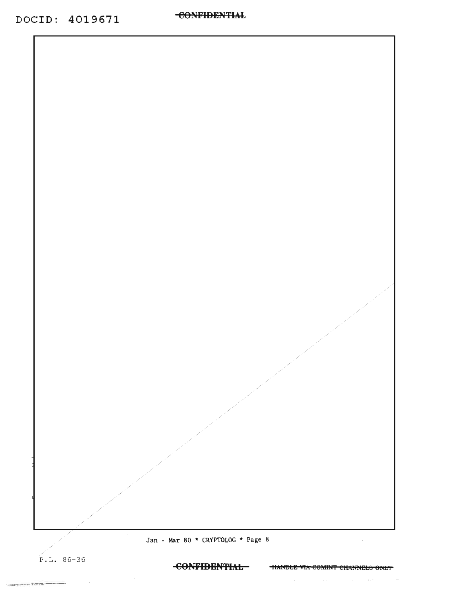

Jan - Mar 80 \* CRYPTOLOG \* Page 8

 $P.L. 86-36$ 

ancere recei

CONFIDENTIAL TIANDLE VIA COMINT CHANNELS ONLY

**Carl Contact**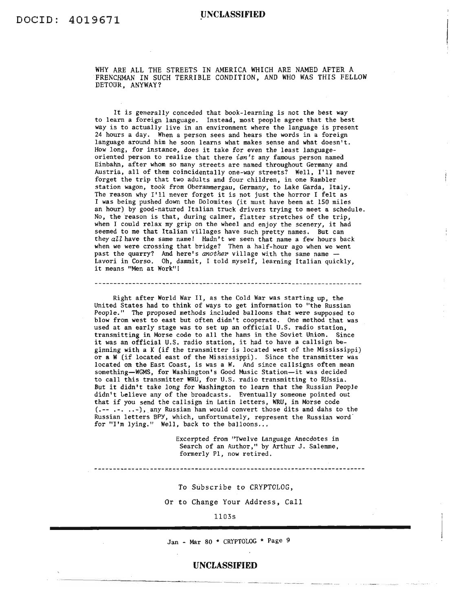WHY ARE ALL THE STREETS IN AMERICA WHICH ARE NAMED AFTER A FRENCHMAN IN SUCH TERRIBLE CONDITION, AND WHO WAS THIS FELLOW DETOUR, ANYWAY?

It is generally conceded that book-learning is not the best way to learn a foreign language. Instead, most people agree that the best way is to actually live in an environment where the language is present 24 hours a day. When a person sees and hears the words in a foreign language around him he soon learns what makes sense and what doesn't. How *long,* for instance, does it take for even the least languageoriented person to realize that there *isn't* any famous person named Einbahn, after whom so many streets are named throughout Germany and Austria, all of them coincidentally one-way streets? Well, I'll never forget the trip that two adults and four children, in one Rambler station wagon, took from Oberammergau, Germany, to Lake Garda, Italy. The reason why I'll never forget it is not just the horror <sup>I</sup> felt as I was being pushed down the Dolomites (it must have been at 150 miles an hour) by good-natured Italian truck drivers trying to meet a schedule. No, the reason is that, during calmer, flatter stretches of the trip, when <sup>I</sup> *could* relax my grip on the wheel and enjoy the scenery, it had seemed to me that Italian villages have such pretty names. But can they *all* have the same name! Hadn't we seen that name a few hours back when we were crossing that bridge? Then a half-hour ago when we went past the quarry? And here's *another* village with the same name -Lavori in Corso. Oh, dammit, I told myself, learning Italian quickly, it means "Men at Work"[

Right after World War II, as the Cold War was starting up, the United States had to think of ways to get information to "the Russian People." The proposed methods included balloons that were supposed to blow from west to east but often didn't cooperate. One method that was used at an early stage was to set up an official U.S. radio station, transmitting in Morse code to all the hams in the Soviet Union. Since it was an official U.S. radio station, it had to have <sup>a</sup> callsign beginning with a K (if the transmitter is located west of the Mississippi) or a W(if located east of the Mississippi). Since the transmitter was located on the East Coast, is was a W. And since callsigns often mean something-WGMS, for Washington's Good Music Station-it was decided to call this transmitter WRU, for U.S. radio transmitting to RUssia. But it didn't take *long* for Washington to learn that the Russian People didn't Lelieve any of the broadcasts. Eventually someone pointed out that if you send the callsign in Latin letters, WRU, in Morse code (.-- .-...-),.any Russian ham would convert those dits and dahs to the Russian letters SPY, which, unfortunately, represent the Russian word" for "I'm lying." Well, back to the balloons...

Excerpted from "Twelve Language Anecdotes in Search of an Author," by Arthur J. Salemme, formerly PI, now retired.

--------------------------------

To Subscribe to CRYPTOLOG,

Or to Change Your Address, Call

1103s

Jan - Mar 80 \* CRYPTOLOG \* Page 9

#### **UNCLASSIFIED**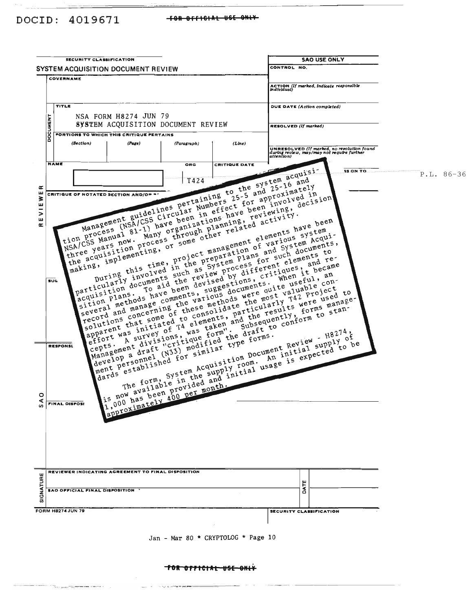TOR OFFICIAL USE ONLY

Jan - Mar 80 \* CRYPTOLOG \* Page 10

| <b>SECURITY CLASSIFICATION</b>                                                                                                                                                                                                                                                                                                                                                                                                                                                                                                                                                                                                                                                                                                                                                                                                                                                                                                                                                                                                                                                                                                                                                                                                                                                    |                                                                                                                                                                                                                                                                                                                                                                                                                                                                                                                                                                                                                                                                                                                                                                                                                                                                                                                                                                                                                                                                                                                                                                                                                                                                                                                                                                                                                                                                                                                                                                                                                                                                                                                                                                                                                                                                                                                                                   | <b>SAO USE ONLY</b>                                                                                    |              |
|-----------------------------------------------------------------------------------------------------------------------------------------------------------------------------------------------------------------------------------------------------------------------------------------------------------------------------------------------------------------------------------------------------------------------------------------------------------------------------------------------------------------------------------------------------------------------------------------------------------------------------------------------------------------------------------------------------------------------------------------------------------------------------------------------------------------------------------------------------------------------------------------------------------------------------------------------------------------------------------------------------------------------------------------------------------------------------------------------------------------------------------------------------------------------------------------------------------------------------------------------------------------------------------|---------------------------------------------------------------------------------------------------------------------------------------------------------------------------------------------------------------------------------------------------------------------------------------------------------------------------------------------------------------------------------------------------------------------------------------------------------------------------------------------------------------------------------------------------------------------------------------------------------------------------------------------------------------------------------------------------------------------------------------------------------------------------------------------------------------------------------------------------------------------------------------------------------------------------------------------------------------------------------------------------------------------------------------------------------------------------------------------------------------------------------------------------------------------------------------------------------------------------------------------------------------------------------------------------------------------------------------------------------------------------------------------------------------------------------------------------------------------------------------------------------------------------------------------------------------------------------------------------------------------------------------------------------------------------------------------------------------------------------------------------------------------------------------------------------------------------------------------------------------------------------------------------------------------------------------------------|--------------------------------------------------------------------------------------------------------|--------------|
| SYSTEM ACQUISITION DOCUMENT REVIEW                                                                                                                                                                                                                                                                                                                                                                                                                                                                                                                                                                                                                                                                                                                                                                                                                                                                                                                                                                                                                                                                                                                                                                                                                                                |                                                                                                                                                                                                                                                                                                                                                                                                                                                                                                                                                                                                                                                                                                                                                                                                                                                                                                                                                                                                                                                                                                                                                                                                                                                                                                                                                                                                                                                                                                                                                                                                                                                                                                                                                                                                                                                                                                                                                   | CONTROL NO.                                                                                            |              |
| COVERNAME                                                                                                                                                                                                                                                                                                                                                                                                                                                                                                                                                                                                                                                                                                                                                                                                                                                                                                                                                                                                                                                                                                                                                                                                                                                                         |                                                                                                                                                                                                                                                                                                                                                                                                                                                                                                                                                                                                                                                                                                                                                                                                                                                                                                                                                                                                                                                                                                                                                                                                                                                                                                                                                                                                                                                                                                                                                                                                                                                                                                                                                                                                                                                                                                                                                   | ACTION (If marked, indicate responsible<br>individual)                                                 |              |
| TITLE                                                                                                                                                                                                                                                                                                                                                                                                                                                                                                                                                                                                                                                                                                                                                                                                                                                                                                                                                                                                                                                                                                                                                                                                                                                                             |                                                                                                                                                                                                                                                                                                                                                                                                                                                                                                                                                                                                                                                                                                                                                                                                                                                                                                                                                                                                                                                                                                                                                                                                                                                                                                                                                                                                                                                                                                                                                                                                                                                                                                                                                                                                                                                                                                                                                   | <b>DUE DATE</b> (Action completed)                                                                     |              |
| NSA FORM H8274 JUN 79<br>DOCUMENT<br>SYSTEM ACQUISITION DOCUMENT REVIEW                                                                                                                                                                                                                                                                                                                                                                                                                                                                                                                                                                                                                                                                                                                                                                                                                                                                                                                                                                                                                                                                                                                                                                                                           |                                                                                                                                                                                                                                                                                                                                                                                                                                                                                                                                                                                                                                                                                                                                                                                                                                                                                                                                                                                                                                                                                                                                                                                                                                                                                                                                                                                                                                                                                                                                                                                                                                                                                                                                                                                                                                                                                                                                                   | RESOLVED (If marked)                                                                                   |              |
| PORTIONS TO WHICH THIS CRITIQUE PERTAINS                                                                                                                                                                                                                                                                                                                                                                                                                                                                                                                                                                                                                                                                                                                                                                                                                                                                                                                                                                                                                                                                                                                                                                                                                                          |                                                                                                                                                                                                                                                                                                                                                                                                                                                                                                                                                                                                                                                                                                                                                                                                                                                                                                                                                                                                                                                                                                                                                                                                                                                                                                                                                                                                                                                                                                                                                                                                                                                                                                                                                                                                                                                                                                                                                   |                                                                                                        |              |
| (Section)<br>(Page)                                                                                                                                                                                                                                                                                                                                                                                                                                                                                                                                                                                                                                                                                                                                                                                                                                                                                                                                                                                                                                                                                                                                                                                                                                                               | (Paragraph)<br>(Line)                                                                                                                                                                                                                                                                                                                                                                                                                                                                                                                                                                                                                                                                                                                                                                                                                                                                                                                                                                                                                                                                                                                                                                                                                                                                                                                                                                                                                                                                                                                                                                                                                                                                                                                                                                                                                                                                                                                             | UNRESOLVED (If marked, no resolution found<br>during review, may/may not require further<br>attention) |              |
| <b>NAME</b>                                                                                                                                                                                                                                                                                                                                                                                                                                                                                                                                                                                                                                                                                                                                                                                                                                                                                                                                                                                                                                                                                                                                                                                                                                                                       | ORG<br><b>CRITIQUE DATE</b>                                                                                                                                                                                                                                                                                                                                                                                                                                                                                                                                                                                                                                                                                                                                                                                                                                                                                                                                                                                                                                                                                                                                                                                                                                                                                                                                                                                                                                                                                                                                                                                                                                                                                                                                                                                                                                                                                                                       | <b>\$5 ON TO.</b>                                                                                      |              |
| Management guidelines pertaining to the system acquisi-<br>Management guidelines pertaining to the system acquisi-<br>Management guidelines pertaining to the system acquisi-<br>NSA/CSS Manual 81-1) have been in effect for approxima<br>tion process (NSA/CSS Circular Numbers 25-5 and 25-16 and<br>the process (NSA/CSS Circular in effect for approximately<br>tion process (NSA/CSS Circular in effect e heen involved in<br>NSA/CSS pears now. Many organizations have<br>Œ<br>ш<br>NSA/CSS Manual 81-1) have been in ettect for approximately<br>NSA/CSS Manual 81-1) have been in ettect for approximately<br>NSA/CSS Manual 81-1) have peen in process through planning. reviewing.<br><b>CRITIQUE OF NOTATED SECTION AND/OP **</b><br>three years now, many organizations have been involved in decision and the reviewing, and the constrained activity.<br>⋧<br>ш<br>-<br>><br>the acquisition process through planning, reviewing, containing, containing, through planning, reviewing, containing, containing, $\frac{1}{2}$ and $\frac{1}{2}$ activity.<br>ш<br>œ<br>particularly involved in the project management elements have been<br>project management elements system<br>wring this time, project management and System<br>acquisition documents such as | During this time, project management elements have been<br>project management of various every                                                                                                                                                                                                                                                                                                                                                                                                                                                                                                                                                                                                                                                                                                                                                                                                                                                                                                                                                                                                                                                                                                                                                                                                                                                                                                                                                                                                                                                                                                                                                                                                                                                                                                                                                                                                                                                    |                                                                                                        | $P.L. 86-36$ |
| particularly involved in the preparation of various system Acqui-<br>particularly involved in the preparation for such documents.<br>particularly involved in the as System process for such documents.<br>and System plans and System Acqui-<br>and System plans and System Acqui-<br>acquisition documents such as System process ferent elements to<br>acquisition documents such as System process ferent elements<br>acquisition acquisition and<br>sition plans, to aid the review process for such documents to the elements for such documents to the elements of the elements of the process for such documents and re-<br>To aid the review process critiques, and re-<br>sition pl<br>506<br><b>RESPONSL</b>                                                                                                                                                                                                                                                                                                                                                                                                                                                                                                                                                           | several methods have been devised by different elements to and re-<br>suggestions, critiques; when it became<br>record and manage comments, suggestions, when it became<br>record and manage ing the various<br>and record and manage comments, suggestions, critiques, and re-<br>suggestions, critiques, the decame<br>record and manage comments, suggestions, were when we useful, an<br>record and manage comments, suggestions were most valuable<br>apparent that some of these methods were quite useful, and con-<br>apparent that some of these methods were most valuable cert<br>parent was initiated to consolidate narticularly $\tau_{42}$ project<br>effort was survey of $T^4$ eleme<br>effort was initiated to consolidate the most valuable con-<br>left was initiated to consolidate particularly raz project<br>left of a survey of was taken and the results were used<br>left a survey of was taken and the results were<br>Cepts. A survey of T4 elements, particularly T42 project to the were used to results forms manage-<br>experience of T4 elements, and the results forms manage-<br>experience draft "critique form".<br>Management divisions, was taken and the results were used to<br>the form to standards the standard subsequently, to standards a divisions, was form the draft to conform to standards.<br>Management divisions, was form the draft t<br>H8274, H8274, H8274, H8274, H8274, H8274, H8274, H8274, H8274, H8274, H8274, H8274, H8274, H8274, H8274, H8274, H8274, H8274, H8274, H8274, H8274, H8274, H8274, H8274, H8274, H8274, H8274, H8274, H8274, H8274, H8274, H8274<br>ment personnel (N <sup>33)</sup> modified the ural in type forms.<br>H8274,<br>IH8274,<br>The form, System Acquisition Document Review supply of<br>The form, System Acquisition Document Review supply of<br>The form, System Acquisition Document An initial supply of<br>The form, System Acquisition Docu |                                                                                                        |              |
| $\circ$<br>⋖<br><b>FINAL DISPOS!</b><br>s                                                                                                                                                                                                                                                                                                                                                                                                                                                                                                                                                                                                                                                                                                                                                                                                                                                                                                                                                                                                                                                                                                                                                                                                                                         |                                                                                                                                                                                                                                                                                                                                                                                                                                                                                                                                                                                                                                                                                                                                                                                                                                                                                                                                                                                                                                                                                                                                                                                                                                                                                                                                                                                                                                                                                                                                                                                                                                                                                                                                                                                                                                                                                                                                                   |                                                                                                        |              |
| REVIEWER INDICATING AGREEMENT TO FINAL DISPOSITION                                                                                                                                                                                                                                                                                                                                                                                                                                                                                                                                                                                                                                                                                                                                                                                                                                                                                                                                                                                                                                                                                                                                                                                                                                |                                                                                                                                                                                                                                                                                                                                                                                                                                                                                                                                                                                                                                                                                                                                                                                                                                                                                                                                                                                                                                                                                                                                                                                                                                                                                                                                                                                                                                                                                                                                                                                                                                                                                                                                                                                                                                                                                                                                                   |                                                                                                        |              |
| SIGNATURE<br>SAO OFFICIAL FINAL DISPOSITION                                                                                                                                                                                                                                                                                                                                                                                                                                                                                                                                                                                                                                                                                                                                                                                                                                                                                                                                                                                                                                                                                                                                                                                                                                       |                                                                                                                                                                                                                                                                                                                                                                                                                                                                                                                                                                                                                                                                                                                                                                                                                                                                                                                                                                                                                                                                                                                                                                                                                                                                                                                                                                                                                                                                                                                                                                                                                                                                                                                                                                                                                                                                                                                                                   | <b>BAT</b>                                                                                             |              |
| <b>FORM H8274 JUN 79</b>                                                                                                                                                                                                                                                                                                                                                                                                                                                                                                                                                                                                                                                                                                                                                                                                                                                                                                                                                                                                                                                                                                                                                                                                                                                          |                                                                                                                                                                                                                                                                                                                                                                                                                                                                                                                                                                                                                                                                                                                                                                                                                                                                                                                                                                                                                                                                                                                                                                                                                                                                                                                                                                                                                                                                                                                                                                                                                                                                                                                                                                                                                                                                                                                                                   | SECURITY CLASSIFICATION                                                                                |              |

DOCID: 4019671 +OR OFFICIAL USE ONLY

and the company

. . . . . . . . . .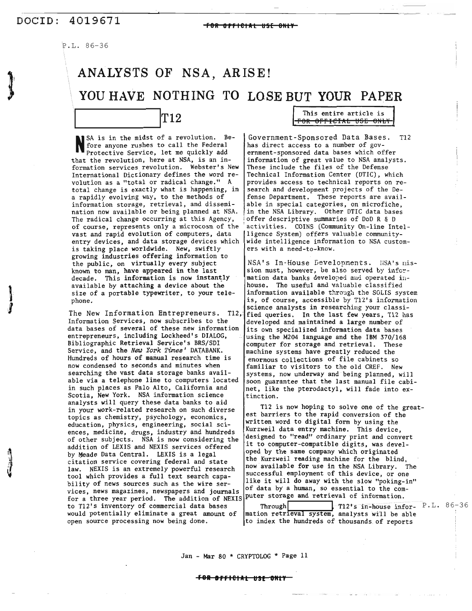### DOCID:  $4019671$  <del>For official use only</del>

 $\mathbf{I}$ J

P.L. 86-36

# **ANALYSTS OF NSA, ARISE! YOU HAVE NOTHING TO LOSE BUT YOUR PAPER** This entire article is **This entire article is IT12 CONS**

N<sub>fo1</sub> SA is in the midst of a revolution. Before anyone rushes to call the Federal Protective Service. let me quickly add that the revolution, here at NSA, is an information services revolution. Webster's New International Dictionary defines the word revolution as a "total or radical change." A total change is exactly what is happening. in a rapidly evolving way. to the methods of information storage, retrieval, and dissemination now available or being planned at NSA. The radical change occurring at this Agency. of course. represents only a microcosm of the vast and rapid evolution of computers, data entry devices, and data storage devices which is taking place worldwide. New, swiftly growing industries offering information to the public. on virtually every subject known to man. have appeared in the last decade. This information is now instantly available by attaching a device about the size of a portable typewriter, to your telephone.

The New Information Entrepreneurs. T12, Information Services, now subscribes to the data bases of several of these new information its own specialized information data bases entrepreneurs, including Lockheed's DIALOG,  $\cdot$  using the M204 language and the IBM 370/168 Bibliographic Retrieval Service's BRS/SDI computer for storage and retrieval. These<br>Service, and the New York Times' DATABANK. machine systems have greatly reduced the Hundreds of hours of manual research time is | enormous collections of file cabinets so<br>now condensed to seconds and minutes when | familiar to visitors to the old CREE. Ne now condensed to seconds and minutes when familiar to visitors to the old CREF. New<br>searching the vast data storage banks avail-<br>systems, now underway and being planned, w able via a telephone line to computers located  $|$  soon guarantee that the last manual file cabiin such places as Palo Alto, California and  $\vert$  net, like the pterodactyl, will fade into ex-Scotia, New York. NSA information science [tinction. analysts will query these data banks to aid topics as chemistry, psychology, economics, est barriers to the rapid conversion of the<br>divertion shipser proposition and respectively explicitly written word to digital form by using the education, physics, engineering, social sci-<br>ences medicine drugs industry and bundreds Kurzweil data entry machine. This device, ences, medicine, drugs, industry and hundreds ences, medicine, arugs, industry and numbers<br>of other subjects. NSA is now considering the designed to "read" ordinary print and convert<br>addition of IEVIS and NEVIS convices offered it to computer-compatible digits, was de addition of LEXIS and NEXIS services offered by Meade Data Central. LEXIS is a legal oped by the same company which originated by Meade Data Central. LEXIS is a legal by means bata central. EXIS IS a regard the Kurzweil reading machine for the blind, citation service covering federal and state law. NEXIS is an extremely powerful research now available for use in the NSA Library. The tool which provides a full text search capa-<br>bility of news sources such as the wire ser-<br> $\begin{matrix}\n\text{successful employment of this device, or one} \\
\text{like it will do away with the slow "poking-in"}\n\end{matrix}$ vices, news magazines, newspapers and journals of data by a human, so essential to the comfor a three year period. The addition of NEXIS puter storage and retrieval of information. to T12's inventory of commercial data bases<br>would potentially eliminate a great amount of mation retrieval system, analysts will be able would potentially eliminate a great amount of mation retrieval system, analysts will be able

Government-Sponsored Data Bases. Tl2 has direct access to a number of government-sponsored data bases which offer information of great value to NSA analysts. These include the files of the Defense Technical Information Center (DTIC). which provides access to technical reports on research and development projects of the Defense Department. These reports are available in special categories, on microfiche in the NSA Library. Other DTIC data bases offer descriptive summaries of DoD R & D , activities. COINS (Community On-line Intelligence System) offers valuable communitywide intelligence information to NSA customers with a need-to-know.

NSA's In-House Developments. liSA's nission must, however, be also served by information data banks developed and operated inhouse. The useful and valuable classified information available through the SOLIS system<br>is, of course, accessible by  $T12's$  information science analysts in researching your classi-<br>fied queries. In the last few years, T12 has developed and maintained a large number of machine systems have greatly reduced the systems, now underway and being planned, will

in your work-related research on such diverse Tl2 is now hoping to solve one of the great-

open source processing now being done. The index the hundreds of thousands of report

Jan - Mar 80 \* CRYPTOLOG \* Page 11

#### **Fel IfrlelAL as! 'Nt.**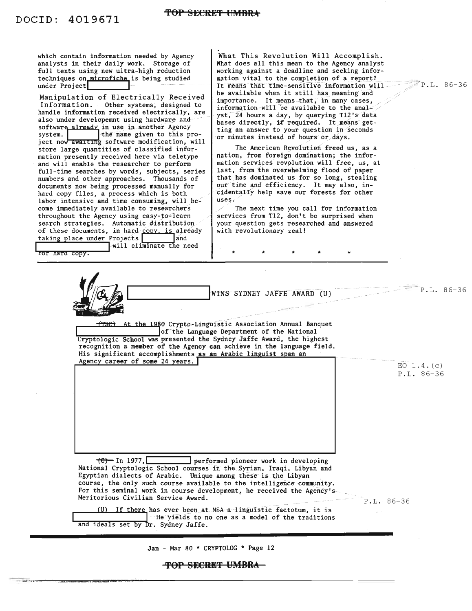$\sim 320$  and

| techniques on microfiche is being studied<br>mation vital to the completion of a report?<br>$P.L. 86-36$<br>under Project<br>It means that time-sensitive information will<br>be available when it still has meaning and<br>Manipulation of Electrically Received<br>importance. It means that, in many cases,<br>Information. Other systems, designed to<br>information will be available to the anal-<br>handle information received electrically, are<br>yst, 24 hours a day, by querying T12's data<br>also under developemnt using hardware and<br>bases directly, if required. It means get-<br>software already in use in another Agency<br>ting an answer to your question in seconds<br>the name given to this pro-<br>system.<br>or minutes instead of hours or days.<br>ject now awaiting software modification, will<br>The American Revolution freed us, as a<br>store large quantities of classified infor-<br>nation, from foreign domination; the infor-<br>mation presently received here via teletype<br>mation services revolution will free, us, at<br>and will enable the researcher to perform<br>last, from the overwhelming flood of paper<br>full-time searches by words, subjects, series<br>that has dominated us for so long, stealing<br>numbers and other approaches. Thousands of<br>our time and efficiency. It may also, in-<br>documents now being processed manually for<br>cidentally help save our forests for other<br>hard copy files, a process which is both<br>uses.<br>labor intensive and time consuming, will be-<br>come immediately available to researchers<br>The next time you call for information<br>throughout the Agency using easy-to-learn<br>services from T12, don't be surprised when<br>search strategies. Automatic distribution<br>your question gets researched and answered<br>of these documents, in hard copy, is already<br>with revolutionary zeal!<br>taking place under Projects<br>and<br>will eliminate the need<br>for hard copy.<br>$P.L. 86-36$ |  |
|----------------------------------------------------------------------------------------------------------------------------------------------------------------------------------------------------------------------------------------------------------------------------------------------------------------------------------------------------------------------------------------------------------------------------------------------------------------------------------------------------------------------------------------------------------------------------------------------------------------------------------------------------------------------------------------------------------------------------------------------------------------------------------------------------------------------------------------------------------------------------------------------------------------------------------------------------------------------------------------------------------------------------------------------------------------------------------------------------------------------------------------------------------------------------------------------------------------------------------------------------------------------------------------------------------------------------------------------------------------------------------------------------------------------------------------------------------------------------------------------------------------------------------------------------------------------------------------------------------------------------------------------------------------------------------------------------------------------------------------------------------------------------------------------------------------------------------------------------------------------------------------------------------------------------------------------------------------------------------------------------------------------------|--|
| WINS SYDNEY JAFFE AWARD (U)<br><b>TTSC</b> At the 1980 Crypto-Linguistic Association Annual Banquet<br>of the Language Department of the National<br>Cryptologic School was presented the Sydney Jaffe Award, the highest<br>recognition a member of the Agency can achieve in the language field.<br>His significant accomplishments as an Arabic linguist span an<br>Agency career of some 24 years.<br>EO $1.4.$ (c)                                                                                                                                                                                                                                                                                                                                                                                                                                                                                                                                                                                                                                                                                                                                                                                                                                                                                                                                                                                                                                                                                                                                                                                                                                                                                                                                                                                                                                                                                                                                                                                                    |  |
| $P.L. 86-36$                                                                                                                                                                                                                                                                                                                                                                                                                                                                                                                                                                                                                                                                                                                                                                                                                                                                                                                                                                                                                                                                                                                                                                                                                                                                                                                                                                                                                                                                                                                                                                                                                                                                                                                                                                                                                                                                                                                                                                                                               |  |
| <del>(C) -</del> In 1977, <br>performed pioneer work in developing<br>National Cryptologic School courses in the Syrian, Iraqi, Libyan and<br>Egyptian dialects of Arabic. Unique among these is the Libyan<br>course, the only such course available to the intelligence community.<br>For this seminal work in course development, he received the Agency's<br>Meritorious Civilian Service Award.<br>$P.L. 86-36$<br>(U) If there has ever been at NSA a linguistic factotum, it is<br>He yields to no one as a model of the traditions<br>and ideals set by Dr. Sydney Jaffe.                                                                                                                                                                                                                                                                                                                                                                                                                                                                                                                                                                                                                                                                                                                                                                                                                                                                                                                                                                                                                                                                                                                                                                                                                                                                                                                                                                                                                                          |  |

~OP 8H€RH~ **UMBRh**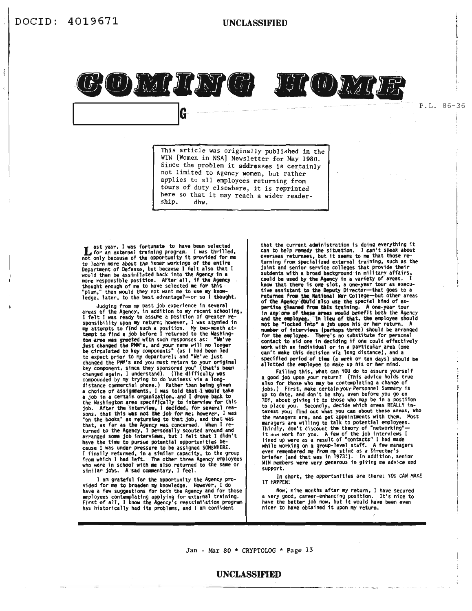

P.L. 86-36

This article was originally published in the WIN [Women in NSA] Newsletter for May 1980. Since the problem it addresses is certainly not limited to Agency women, but rather applies to all employees returning from tours of duty elsewhere, it is reprinted here so that it may reach a wider readership. dhw.

st year, I was fortunate to have been selected<br>for an external training program. I was thrilled,<br>not only because of the opportunity it provided for me<br>to learn more about the inner workings of the entire Department of Defense, but because I felt also that I mould then be assimilated back into the Agency in a<br>more responsible position. After all, if the Agency<br>more responsible position. After all, if the Agency<br>thought enough of me to have selected me for this<br>"plum," then wou ledge, later, to the best advantage?-or so I thought.

G

Judging from my past job experience in several<br>areas of the Agency, in addition to my recent schooling,<br>I felt I was ready to assume a position of greater responsibility upon my return; however, I was stymidd in<br>my attempts to find such a position. My two-month at-<br>tempt to find a job before I returned to the Washingtempt to rina a job before i returned to the washing-<br>tow area was greeted with such responses as: "We've<br>just changed the PMM's, and your name will no longer<br>be circulated to key components" (as I had been led<br>to expect p changed again, I understand). (The difficulty was<br>distance commercial phone of basiness via a long-<br>distance commercial phone.) Rather than being given<br>a choice of assignments, I was told that I would take<br>a job in a certa the Washington area specifically to interview for this<br>job. After the interview, I decided, for several rea-<br>sons, that this was not the job for me; however, I was<br>"on the books" as returning to that job, and that was<br>that have the time to pursue potential opportunities be-Cause I was under pressure to be assigned SOMEWHERE.<br>I finally returned, in a similar capacity, to the group<br>from which I had left. The other three Agency employees who were in school with me also returned to the same or<br>who were in school with me also returned to the same or<br>similar jobs. A sad commentary, I feel.

I am grateful for the opportunity the Agency provided for me to broaden my knowledge. However, I do<br>have a few suggestions for both the Agency and for those employees contemplating applying for external training.<br>First of all, I know the Agency's reassimilation program<br>has historically had its problems, and I am confident

that the current administration is doing everything it that the current administration. I can't speak about<br>can to help remedy the situation. I can't speak about<br>overseas returnees, but it seems to me that those re-<br>turning from specialized external training, such as the<br>joint sutdents with a broad background in military affairs, could be used by the Agency in a variety of areas. I<br>thow that there is one slot, a one-year tour as execu-<br>tive assistant to the Deputy Director—that goes to a<br>returnee from the National War College—but other areas<br>of the bertise glassed from this training. A one-year tour<br>in any one of these areas would benefit both the Agency<br>and the employee. In lieu of that, the employee should<br>not be "locked into" a job upon his or her return. A r of interviews (perhaps three) should be arranged for the employee. There's no substitute for personal<br>contact to aid one in deciding if one could effectively work with an individual or in a particular area (one can't make this decision via long distance), and a ecified period of time (a week or ten days) should be allotted the employee to make up his or her mind.

Failing this, what can YOU do to assure yourself a good job upon your return? (This advice holds true also for those who may be contemplating a change of jobs.) First, make certain your Personnel Summary is<br>up to date, and don't be shy, even before you go on<br>TDY, about giving it to those who may be in a postile postiion to place you. Secondly, decide which areas REALLY in-<br>terest you; find out what you can about these areas, who the managers are, and get appointments with them. Nost<br>managers are, and get appointments with them. Nost<br>managers are willing to talk to potential employees.<br>Thirdly, don't discount the theory of "networking"-<br>it  $\alpha \alpha n$ while working on a secure of staff. A few managers<br>even remembered me from my stint as a Director's<br>briefer (and that was in 1973.). In addition, senior WIN members were very generous in giving me advice and support.

In short, the opportunities are there; YOU CAN MAKE<br>IT HAPPEN!

Now, nine months after my return, I have secured a very good, career-enhancing position. It's nice to have the better job now, but it would have been even nicer to have obtained it upon my return.

Jan - Mar 80 \* CRYPTOLOG \* Page 13

#### **UNCLASSIFIED**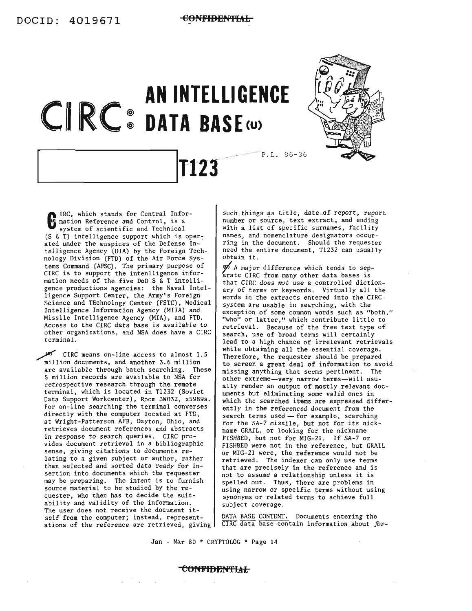



 $\mathbf{G}$ <sup>If</sup> IRC, which stands for Central Information Reference and Control, is a system of scientific and Technical  $(S \& T)$  intelligence support which is operated under the auspices of the Defense Intelligence Agency (DIA) by the Foreign Technology Division (FTD) of the Air Force Systems Command (AFSC). The primary purpose of CIRC is to support the intenlligence information needs of the five DoD S & T intelligence productions agencies: the Naval Intelligence Support Center, the Army's Foreign Science and TEchnology Center (FSTC), Medical Intelligence Information Agency (MILA) and Missile Intelligence Agency (MIA), and FTD. Access to the CIRC data base is available to other organizations, and NSA does have a CIRC terminal.

CIRC means on-line access to almost 1.5 million documents, and another 3.6 million are available through batch searching. These 5 million records are available to NSA for retrospective research through the remote terminal, which is located in Tl232 (Soviet Data Support Workcenter), Room 3W032, x5989s. For on-line searching the terminal converses directly with the computer located at FTD, at Wright-Patterson AFB, Dayton, Ohio, and retrieves document references and abstracts in response to search queries. CIRC provides document retrieval in a bibliographic sense, giving citations to documents re-<br>lating to a given subject or author, rather than selected and sorted data ready for insertion into documents which the requester may be preparing. The intent is to furnish source material to be studied by the re-<br>quester, who then has to decide the suitability and validity of the information. The user does not receive the document itself from the computer; instead, representations of the reference are retrieved, giving

such things as title, date of report, report number or source, text extract, and ending with a list of specific surnames, facility names, and nomenclature designators occur- ring in the document. Should the requester need the entire document, Tl232 can usually obtain it.

A major difference which tends to separate CIRC from many other data bases is that CIRC does *not* use a controlled dictionary of terms or keywords. Virtually all the words in the extracts entered into the CIRC system are usable in searching, with the exception of some common words such as "both," "who" or latter," which contribute little to retrieval. Because of the free text type of search, use of broad terms will certainly lead to a high chance of irrelevant retrievals while obtaining all the essential coverage. Therefore, the requester should be prepared to screen a great deal of information to avoid missing anything that seems pertinent. The other extreme-very narrow terms-will usu- ally render an output of mostly relevant documents but eliminating some valid ones in which the searched items are expressed differently in the referenced document from the search terms used  $-$  for example, searching for the SA-7 missile, but not for its nick- name GRAIL, or looking for the nickname FISHBED, but not for MIG-2l. If SA-7 or FISHBED were not in the reference, but GRAIL or MIG-2l were, the reference would not be retrieved. The indexer can only use terms that are precisely in the reference and is not to assume <sup>a</sup> relationship unless it is spelled out. Thus, there are problems in using narrow or specific terms without using synonyms or related terms to achieve full subject coverage.

DATA BASE CONTENT. Documents entering the CIRC data base contain information about for-

Jan - Mar 80 \* CRYPTOLOG \* Page 14

#### **CONFIBEN'fIAtJ**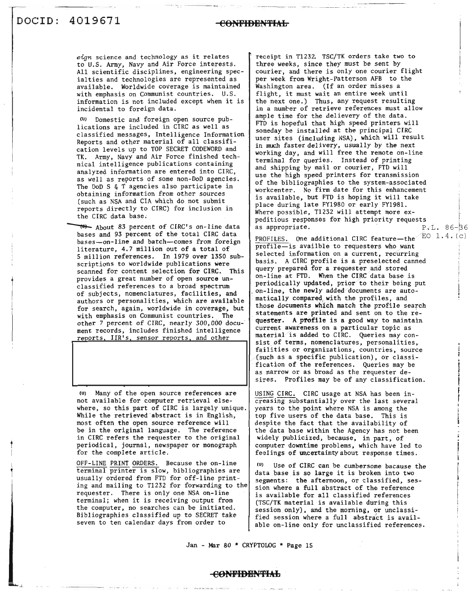t

*eign* science and technology as it relates to U.S. Army, Navy and Air Force interests. All scientific disciplines, engineering specialties and technologies are represented as available. Worldwide coverage is maintained with emphasis on Communist countries. U.S. information is not included except when it is incidental to foreign data.

(Uj Domestic and foreign open source publications are included in CIRC as well as classified messages, Intelligence Information Reports and other material of all classification levels up to TOP SECRET CODEWORD and TK. Army, Navy and Air Force finished technical intelligence publications containing analyzed information are entered into CIRC, as well as reports of some non-DoD agencies. The DoD S & T agencies also participate in obtaining information from other sources (such as NSA and CIA which do not submit reports directly to CIRC) for inclusion in the CIRC data base.

About 83 percent of CIRC's on-line data bases and 93 percent of the total CIRC data *bases--on-line* and batch--comes from foreign literature, 4.7 million out of a total of 5 million references. In 1979 over 1350 subscriptions to worldwide publications were scanned for content selection for CIRC. This provides a great number of open source unclassified references to a broad spectrum of subjects, nomenclatures, facilities, and authors or personalities, which are available for search, again, worldwide in coverage, but with emphasis on Communist countries. The other 7 percent of CIRC, nearly 300,000 document records, includes finished intelligence reports, IIR's, sensor reports, and other

(U) Many of the open source references are not available for computer retrieval elsewhere, so this part of CIRC is largely unique. While the retrieved abstract is in English, most often the open source referemce will be in the original language. The reference in CIRC refers the requester to the original periodical, journal, newspaper or monograph for the complete article.

OFF-LINE PRINT ORDERS. Because the on-line terminal printer is slow, bibliographies are usually ordered from FTD for off-line printing and mailing to T1232 for forwarding to the requester. There is only one NSA on-line terminal; when it is receiving output from the computer, no searches can be initiated. Bibliographies classified up to SECRET take seven to ten calendar days from order to

receipt in T1232. TSC/TK orders take two to three weeks, since they must be sent by courier, and there is only one courier flight per week from Wright-Patterson AFB to the Washington area. (If an order misses a flight, it must wait an entire week until the next one.) Thus, any request resulting in a number of retrieve references must allow ample time for the delievery of the data. FTD is hopeful that high speed printers will someday be installed at the principal CIRC user sites (including NSA), which will result in much faster delivery, usually by the next working day, and will free the remote on-line terminal for queries. Instead of printing and shipping by mail or courier, FTD will use the high speed printers for transmission of the bibliographies to the system-associated workcenter. No firm date for this enhancement is available, but FTD is hoping it will take place during late FY1980 or early FY198l. Where possible, T1232 will attempt more expeditious responses for high priority requests<br>as appropriate.  $P \cdot 1.86-36$ as appropriate.

PROFILES. One additional CIRC feature--the<sup>2EO</sup> 1.4. $(c)$  $\overline{\text{profile}-}$  is availble to requesters who want selected information on a current, recurring basis. A CIRC profile is a preselected canned query prepared for a requester and stored on-line at FTD. When the CIRC data base is periodically updated, prior to their being put on-line, the newly added documents are automatically compared with the profiles, and those documents which match the profile search statements are printed and sent on to the requester. A profile is a good way to maintain current awareness on a particular topic as material is added to CIRC. Queries may consist of terms, nomenclatures, personalities, failities or organizations, countries, source (such as a specific publication), or classification of the references. Queries may be as narrow or as broad as the requester desires. Profiles may be of any classification.

USING CIRC. CIRC usage at NSA has been increasing substantially over the last several years to the point where NSA is among the top five users of the data base. This is despite the fact that the availability of the data base within the Agency has not been widely publicized, because, in part, of computer downtime problems, which have led to feelings of uncertainty about response times.

Use of CIRC can be cumbersome bacause the data base is so large it is broken into two segments: the afternoon, or classified, session where a full abstract of the reference is available for all classified references (TSC/TK material is available during this session only), and the morning, or unclassified session where a full abstract is available on-line only for unclassified references.

Jan - Mar 80 \* CRYPTOLOG \* Page 15

**CONPIBIilNI'IAL**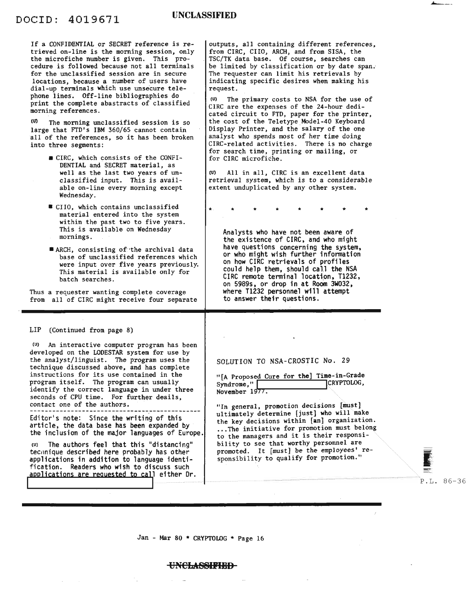If a CONFIDENTIAL or SECRET reference is retrieved on-line is the morning session, only the microfiche number is given. This procedure is followed because not all terminals for the unclassified session are in secure locations, because a number of users have dial-up terminals which use unsecure telephone lines. Off-line bibliographies do print the complete abastracts of classified morning references.

 $(0)$  The morning unclassified session is so large that FTD's IBM 360/65 cannot contain all of the references, so it has been broken into three segments:

- \_ CIRC, which consists of the CONFI-DENTIAL and SECRET material, as well as the last two years of unclassified input. This is available on-line every morning except Wednesday.
- U CIIO, which contains unclassified material entered into the system within the past two to five years. This is available on Wednesday mornings.
- ARCH, consisting of the archival data base of unclassified references which were input over five years previously. This material is available only for batch searches.

Thus a requester wanting complete coverage from all of CIRC might receive four separate

LIP (Continued from page 8)

(V) An interactive computer program has been developed on the LODESTAR system for use by the analyst/linguist. The program uses the technique discussed above, and has complete instructions for its use contained in the program itself. The program can usually identify the correct language in under three seconds of CPU time. For further deails, contact one of the authors.

Editor's note: Since the writing of this<br>article, the data base has been expanded by the inclusion of the major languages of Europe.

(U) The authors feel that this "distancing" technique described here probably has other applications in addition to language identification. Readers who wish to discuss such applications are requested to call either Dr. outputs, all containing different references, from CIRC, ClIO, ARCH, and from SISA, the TSC/TK data base. Of course, searches can be limited by classification or by date span. The requester can limit his retrievals by indicating specific desires when making his request.

(U) The primary costs to NSA for the use of CIRC are the expenses of the 24-hour dedicated circuit to FTD, paper for the printer, the cost of the Teletype Model-40 Keyboard Display Printer, and the salary of the one analyst who spends most of her time doing CIRC-related activities. There is no charge for search time, printing or mailing, or for CIRC microfiche.

(U) All in all, CIRC is an excellent data retrieval system, which is to a considerable extent unduplicated by any other system.

\* \* \* \* \* \* \* \*

Analysts who have not been aware of<br>the existence of CIRC, and who might have questions concerning the system. or who might wish further information on how CIRC retrievals of profiles could help them. should call the NSA CIRC remote terminal location. T1232. on 5989s. or drop in at Room 3W032. where T1232 personnel will attempt to answer their questions.

SOLUTION TO NSA-CROSTIC No. 29

"[A Proposed Cure for the] Time-in-Grade<br>Syndrome,"<br>November 1977.

"In general, promotion decisions [must] ultimately determine [just] who will make the key decisions within [an] organization. ... The initiative for promotion must belong to the managers and it is their responsibility to see that worthy personnel are promoted. It [must] be the employees' responsibility to qualify for promotion."

Jan - Mar 80 \* CRYPTOLOG \* Page 16

#### **UN€b\SSII'IBB**

P.L. 86-36